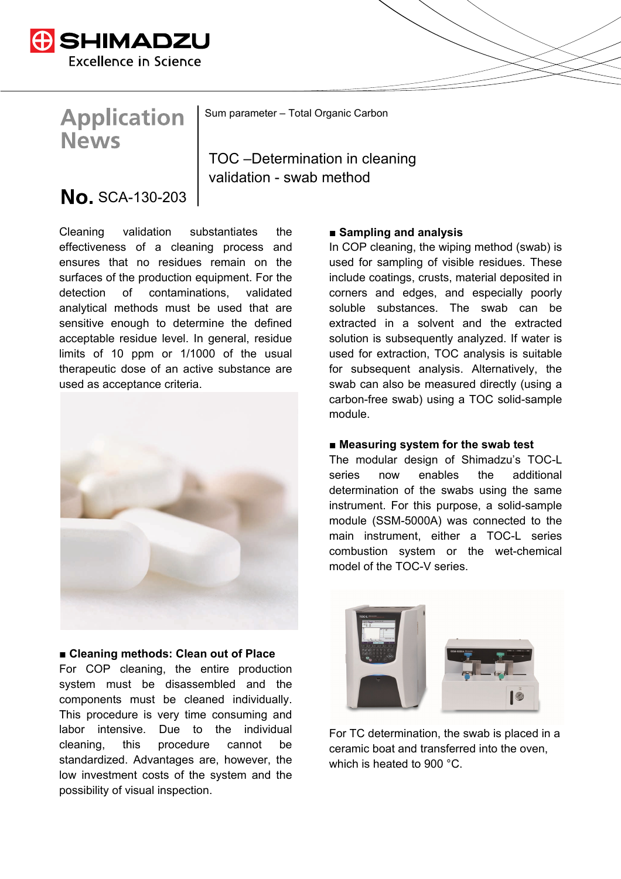

# **Application News**

Sum parameter – Total Organic Carbon

TOC –Determination in cleaning validation - swab method

# No. SCA-130-203

Cleaning validation substantiates the effectiveness of a cleaning process and ensures that no residues remain on the surfaces of the production equipment. For the detection of contaminations, validated analytical methods must be used that are sensitive enough to determine the defined acceptable residue level. In general, residue limits of 10 ppm or 1/1000 of the usual therapeutic dose of an active substance are used as acceptance criteria.



#### **■ Cleaning methods: Clean out of Place**

For COP cleaning, the entire production system must be disassembled and the components must be cleaned individually. This procedure is very time consuming and labor intensive. Due to the individual cleaning, this procedure cannot be standardized. Advantages are, however, the low investment costs of the system and the possibility of visual inspection.

#### **■ Sampling and analysis**

In COP cleaning, the wiping method (swab) is used for sampling of visible residues. These include coatings, crusts, material deposited in corners and edges, and especially poorly soluble substances. The swab can be extracted in a solvent and the extracted solution is subsequently analyzed. If water is used for extraction, TOC analysis is suitable for subsequent analysis. Alternatively, the swab can also be measured directly (using a carbon-free swab) using a TOC solid-sample module.

#### ■ Measuring system for the swab test

The modular design of Shimadzu's TOC-L series now enables the additional determination of the swabs using the same instrument. For this purpose, a solid-sample module (SSM-5000A) was connected to the main instrument, either a TOC-L series combustion system or the wet-chemical model of the TOC-V series.



For TC determination, the swab is placed in a ceramic boat and transferred into the oven, which is heated to 900 °C.